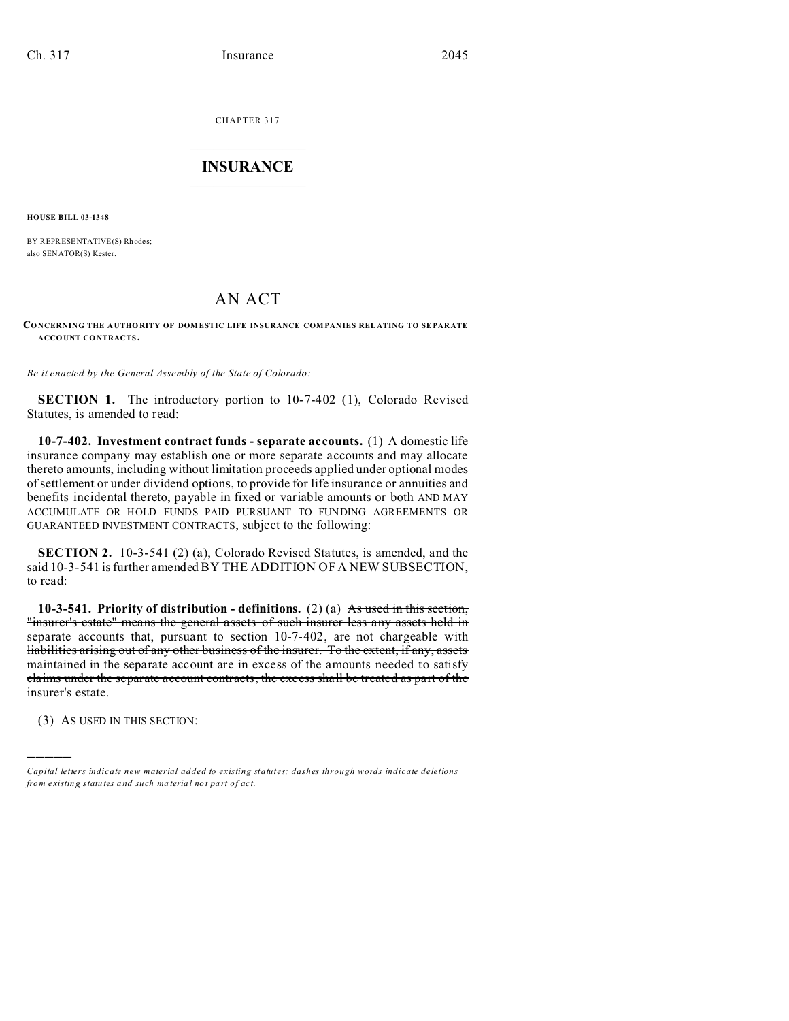CHAPTER 317  $\overline{\phantom{a}}$  , where  $\overline{\phantom{a}}$ 

## **INSURANCE**  $\_$   $\_$   $\_$   $\_$   $\_$   $\_$   $\_$

**HOUSE BILL 03-1348**

BY REPRESENTATIVE(S) Rhodes: also SENATOR(S) Kester.

## AN ACT

## **CONCERNING THE A UTHORITY OF DOMESTIC LIFE INSURANCE COMPAN IES REL ATING TO SE PAR ATE ACCO UNT CONTRACTS .**

*Be it enacted by the General Assembly of the State of Colorado:*

**SECTION 1.** The introductory portion to 10-7-402 (1), Colorado Revised Statutes, is amended to read:

**10-7-402. Investment contract funds - separate accounts.** (1) A domestic life insurance company may establish one or more separate accounts and may allocate thereto amounts, including without limitation proceeds applied under optional modes of settlement or under dividend options, to provide for life insurance or annuities and benefits incidental thereto, payable in fixed or variable amounts or both AND MAY ACCUMULATE OR HOLD FUNDS PAID PURSUANT TO FUNDING AGREEMENTS OR GUARANTEED INVESTMENT CONTRACTS, subject to the following:

**SECTION 2.** 10-3-541 (2) (a), Colorado Revised Statutes, is amended, and the said 10-3-541 is further amended BY THE ADDITION OF A NEW SUBSECTION, to read:

**10-3-541. Priority of distribution - definitions.** (2) (a) As used in this section, "insurer's estate" means the general assets of such insurer less any assets held in separate accounts that, pursuant to section 10-7-402, are not chargeable with liabilities arising out of any other business of the insurer. To the extent, if any, assets maintained in the separate account are in excess of the amounts needed to satisfy claims under the separate account contracts, the excess shall be treated as part of the insurer's estate.

(3) AS USED IN THIS SECTION:

)))))

*Capital letters indicate new material added to existing statutes; dashes through words indicate deletions from e xistin g statu tes a nd such ma teria l no t pa rt of ac t.*